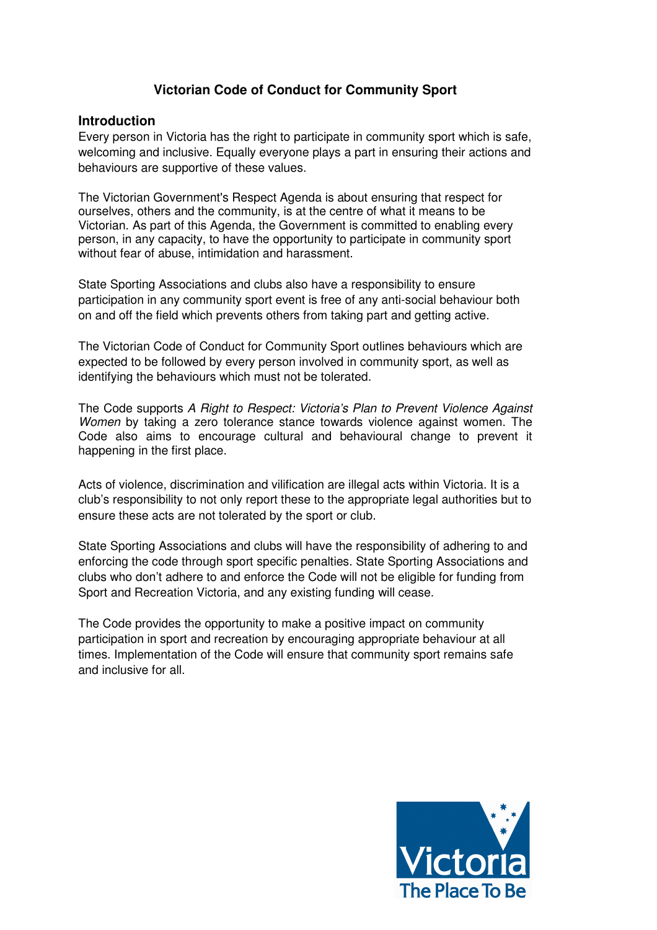# **Victorian Code of Conduct for Community Sport**

#### **Introduction**

Every person in Victoria has the right to participate in community sport which is safe, welcoming and inclusive. Equally everyone plays a part in ensuring their actions and behaviours are supportive of these values.

The Victorian Government's Respect Agenda is about ensuring that respect for ourselves, others and the community, is at the centre of what it means to be Victorian. As part of this Agenda, the Government is committed to enabling every person, in any capacity, to have the opportunity to participate in community sport without fear of abuse, intimidation and harassment.

State Sporting Associations and clubs also have a responsibility to ensure participation in any community sport event is free of any anti-social behaviour both on and off the field which prevents others from taking part and getting active.

The Victorian Code of Conduct for Community Sport outlines behaviours which are expected to be followed by every person involved in community sport, as well as identifying the behaviours which must not be tolerated.

The Code supports A Right to Respect: Victoria's Plan to Prevent Violence Against Women by taking a zero tolerance stance towards violence against women. The Code also aims to encourage cultural and behavioural change to prevent it happening in the first place.

Acts of violence, discrimination and vilification are illegal acts within Victoria. It is a club's responsibility to not only report these to the appropriate legal authorities but to ensure these acts are not tolerated by the sport or club.

State Sporting Associations and clubs will have the responsibility of adhering to and enforcing the code through sport specific penalties. State Sporting Associations and clubs who don't adhere to and enforce the Code will not be eligible for funding from Sport and Recreation Victoria, and any existing funding will cease.

The Code provides the opportunity to make a positive impact on community participation in sport and recreation by encouraging appropriate behaviour at all times. Implementation of the Code will ensure that community sport remains safe and inclusive for all.

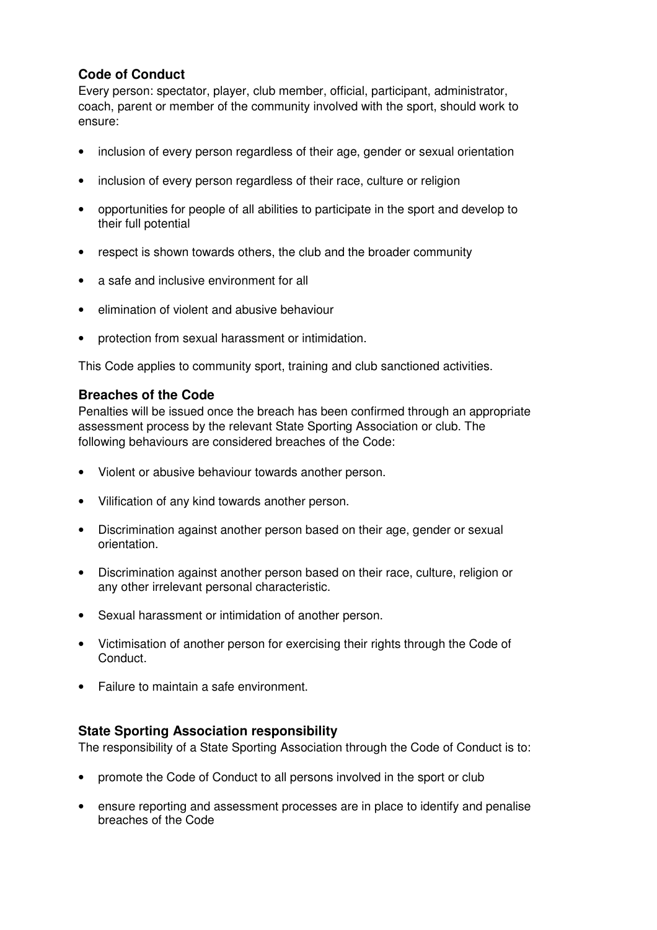# **Code of Conduct**

Every person: spectator, player, club member, official, participant, administrator, coach, parent or member of the community involved with the sport, should work to ensure:

- inclusion of every person regardless of their age, gender or sexual orientation
- inclusion of every person regardless of their race, culture or religion
- opportunities for people of all abilities to participate in the sport and develop to their full potential
- respect is shown towards others, the club and the broader community
- a safe and inclusive environment for all
- elimination of violent and abusive behaviour
- protection from sexual harassment or intimidation.

This Code applies to community sport, training and club sanctioned activities.

## **Breaches of the Code**

Penalties will be issued once the breach has been confirmed through an appropriate assessment process by the relevant State Sporting Association or club. The following behaviours are considered breaches of the Code:

- Violent or abusive behaviour towards another person.
- Vilification of any kind towards another person.
- Discrimination against another person based on their age, gender or sexual orientation.
- Discrimination against another person based on their race, culture, religion or any other irrelevant personal characteristic.
- Sexual harassment or intimidation of another person.
- Victimisation of another person for exercising their rights through the Code of Conduct.
- Failure to maintain a safe environment.

## **State Sporting Association responsibility**

The responsibility of a State Sporting Association through the Code of Conduct is to:

- promote the Code of Conduct to all persons involved in the sport or club
- ensure reporting and assessment processes are in place to identify and penalise breaches of the Code